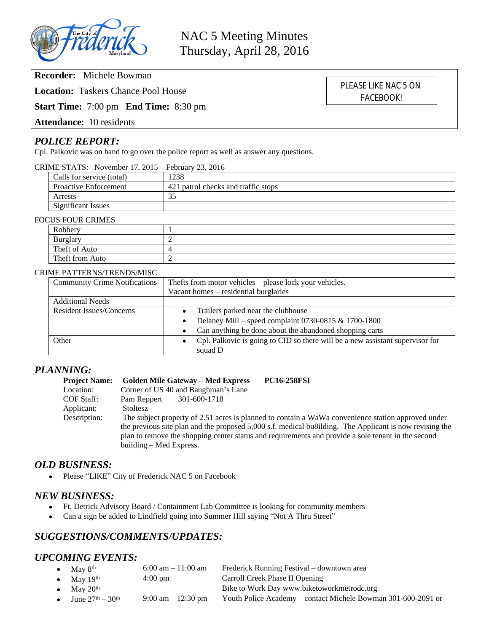

**Recorder:** Michele Bowman

**Location:** Taskers Chance Pool House

**Start Time:** 7:00 pm **End Time:** 8:30 pm

**Attendance**: 10 residents

# *POLICE REPORT:*

Cpl. Palkovic was on hand to go over the police report as well as answer any questions.

#### CRIME STATS: November 17, 2015 – February 23, 2016

| Calls for service (total)    | 1238                                |
|------------------------------|-------------------------------------|
| <b>Proactive Enforcement</b> | 421 patrol checks and traffic stops |
| Arrests                      |                                     |
| Significant Issues           |                                     |

#### FOCUS FOUR CRIMES

| Robbery         |  |
|-----------------|--|
| Burglary        |  |
| Theft of Auto   |  |
| Theft from Auto |  |

#### CRIME PATTERNS/TRENDS/MISC

| <b>Community Crime Notifications</b> | Thefts from motor vehicles – please lock your vehicles.                       |  |  |
|--------------------------------------|-------------------------------------------------------------------------------|--|--|
|                                      | Vacant homes – residential burglaries                                         |  |  |
| <b>Additional Needs</b>              |                                                                               |  |  |
| <b>Resident Issues/Concerns</b>      | Trailers parked near the clubhouse<br>$\bullet$                               |  |  |
|                                      | Delaney Mill – speed complaint 0730-0815 & 1700-1800<br>$\bullet$             |  |  |
|                                      | Can anything be done about the abandoned shopping carts<br>$\bullet$          |  |  |
| Other                                | Cpl. Palkovic is going to CID so there will be a new assistant supervisor for |  |  |
|                                      | squad D                                                                       |  |  |

# *PLANNING:*

| <b>Project Name:</b> | <b>Golden Mile Gateway – Med Express</b>                                                                | <b>PC16-258FSI</b> |  |  |
|----------------------|---------------------------------------------------------------------------------------------------------|--------------------|--|--|
| Location:            | Corner of US 40 and Baughman's Lane                                                                     |                    |  |  |
| COF Staff:           | Pam Reppert<br>301-600-1718                                                                             |                    |  |  |
| Applicant:           | <b>Stoltesz</b>                                                                                         |                    |  |  |
| Description:         | The subject property of 2.51 acres is planned to contain a WaWa convenience station approved under      |                    |  |  |
|                      | the previous site plan and the proposed 5,000 s.f. medical busilding. The Applicant is now revising the |                    |  |  |
|                      | plan to remove the shopping center status and requirements and provide a sole tenant in the second      |                    |  |  |
|                      | building – Med Express.                                                                                 |                    |  |  |

## *OLD BUSINESS:*

• Please "LIKE" City of Frederick NAC 5 on Facebook

#### *NEW BUSINESS:*

- Ft. Detrick Advisory Board / Containment Lab Committee is looking for community members
- Can a sign be added to Lindfield going into Summer Hill saying "Not A Thru Street"

# *SUGGESTIONS/COMMENTS/UPDATES:*

## *UPCOMING EVENTS:*

| • May $8th$                              | $6:00$ am $-11:00$ am                | Frederick Running Festival – downtown area                    |
|------------------------------------------|--------------------------------------|---------------------------------------------------------------|
| • May $19th$                             | $4:00 \text{ pm}$                    | Carroll Creek Phase II Opening                                |
| • May $20th$                             |                                      | Bike to Work Day www.biketoworkmetrodc.org                    |
| • June $27^{\text{th}} - 30^{\text{th}}$ | $9:00 \text{ am} - 12:30 \text{ pm}$ | Youth Police Academy – contact Michele Bowman 301-600-2091 or |

PLEASE LIKE NAC 5 ON FACEBOOK!